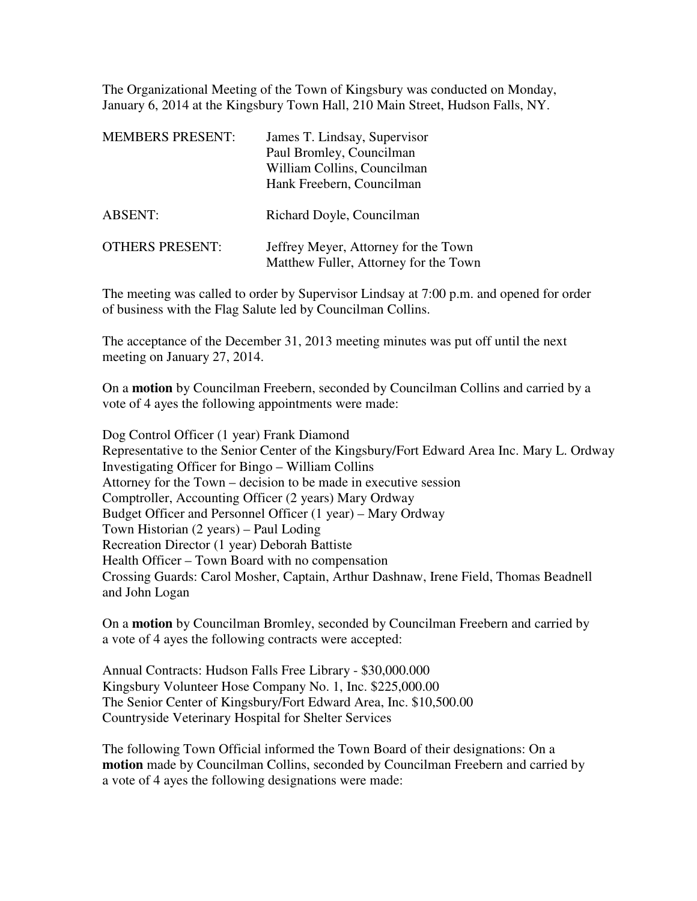The Organizational Meeting of the Town of Kingsbury was conducted on Monday, January 6, 2014 at the Kingsbury Town Hall, 210 Main Street, Hudson Falls, NY.

| <b>MEMBERS PRESENT:</b> | James T. Lindsay, Supervisor<br>Paul Bromley, Councilman<br>William Collins, Councilman<br>Hank Freebern, Councilman |
|-------------------------|----------------------------------------------------------------------------------------------------------------------|
| <b>ABSENT:</b>          | Richard Doyle, Councilman                                                                                            |
| <b>OTHERS PRESENT:</b>  | Jeffrey Meyer, Attorney for the Town<br>Matthew Fuller, Attorney for the Town                                        |

The meeting was called to order by Supervisor Lindsay at 7:00 p.m. and opened for order of business with the Flag Salute led by Councilman Collins.

The acceptance of the December 31, 2013 meeting minutes was put off until the next meeting on January 27, 2014.

On a **motion** by Councilman Freebern, seconded by Councilman Collins and carried by a vote of 4 ayes the following appointments were made:

Dog Control Officer (1 year) Frank Diamond Representative to the Senior Center of the Kingsbury/Fort Edward Area Inc. Mary L. Ordway Investigating Officer for Bingo – William Collins Attorney for the Town – decision to be made in executive session Comptroller, Accounting Officer (2 years) Mary Ordway Budget Officer and Personnel Officer (1 year) – Mary Ordway Town Historian (2 years) – Paul Loding Recreation Director (1 year) Deborah Battiste Health Officer – Town Board with no compensation Crossing Guards: Carol Mosher, Captain, Arthur Dashnaw, Irene Field, Thomas Beadnell and John Logan

On a **motion** by Councilman Bromley, seconded by Councilman Freebern and carried by a vote of 4 ayes the following contracts were accepted:

Annual Contracts: Hudson Falls Free Library - \$30,000.000 Kingsbury Volunteer Hose Company No. 1, Inc. \$225,000.00 The Senior Center of Kingsbury/Fort Edward Area, Inc. \$10,500.00 Countryside Veterinary Hospital for Shelter Services

The following Town Official informed the Town Board of their designations: On a **motion** made by Councilman Collins, seconded by Councilman Freebern and carried by a vote of 4 ayes the following designations were made: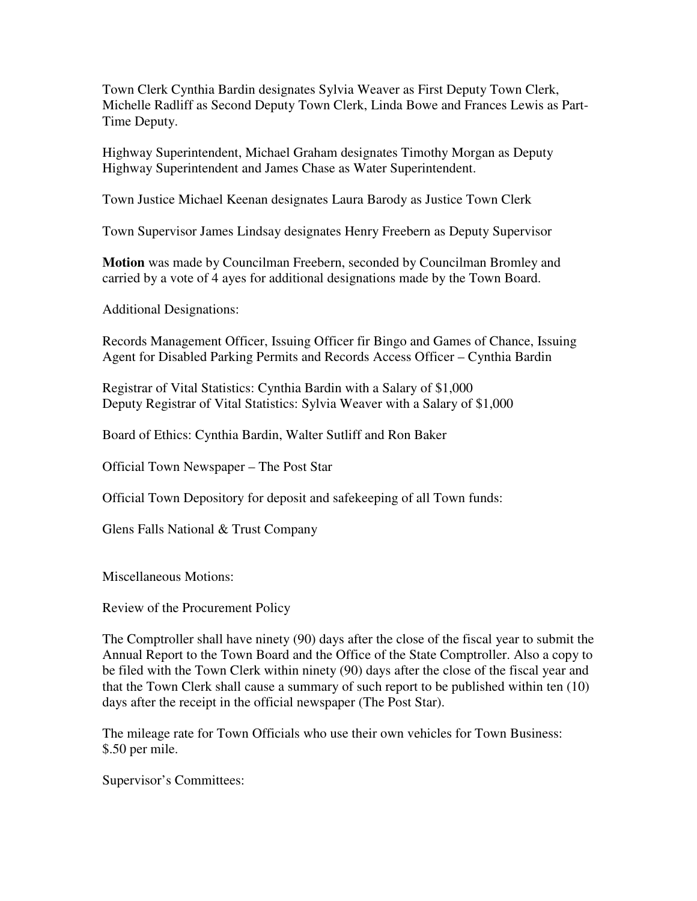Town Clerk Cynthia Bardin designates Sylvia Weaver as First Deputy Town Clerk, Michelle Radliff as Second Deputy Town Clerk, Linda Bowe and Frances Lewis as Part-Time Deputy.

Highway Superintendent, Michael Graham designates Timothy Morgan as Deputy Highway Superintendent and James Chase as Water Superintendent.

Town Justice Michael Keenan designates Laura Barody as Justice Town Clerk

Town Supervisor James Lindsay designates Henry Freebern as Deputy Supervisor

**Motion** was made by Councilman Freebern, seconded by Councilman Bromley and carried by a vote of 4 ayes for additional designations made by the Town Board.

Additional Designations:

Records Management Officer, Issuing Officer fir Bingo and Games of Chance, Issuing Agent for Disabled Parking Permits and Records Access Officer – Cynthia Bardin

Registrar of Vital Statistics: Cynthia Bardin with a Salary of \$1,000 Deputy Registrar of Vital Statistics: Sylvia Weaver with a Salary of \$1,000

Board of Ethics: Cynthia Bardin, Walter Sutliff and Ron Baker

Official Town Newspaper – The Post Star

Official Town Depository for deposit and safekeeping of all Town funds:

Glens Falls National & Trust Company

Miscellaneous Motions:

Review of the Procurement Policy

The Comptroller shall have ninety (90) days after the close of the fiscal year to submit the Annual Report to the Town Board and the Office of the State Comptroller. Also a copy to be filed with the Town Clerk within ninety (90) days after the close of the fiscal year and that the Town Clerk shall cause a summary of such report to be published within ten (10) days after the receipt in the official newspaper (The Post Star).

The mileage rate for Town Officials who use their own vehicles for Town Business: \$.50 per mile.

Supervisor's Committees: